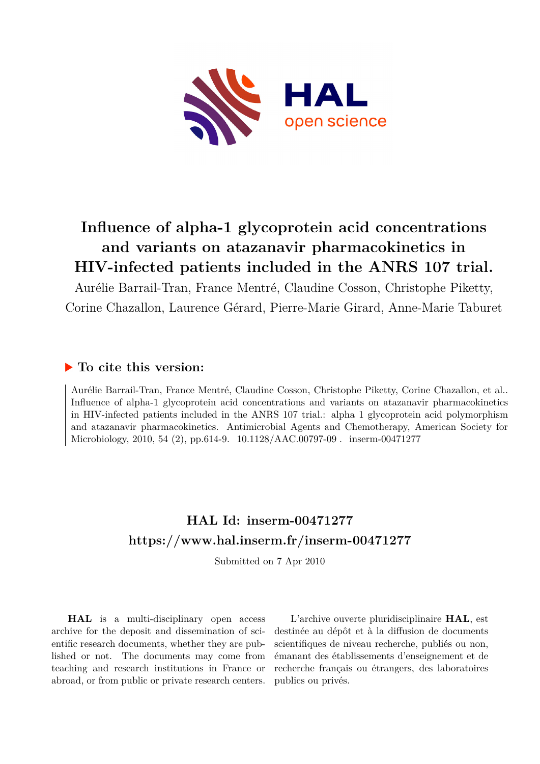

# **Influence of alpha-1 glycoprotein acid concentrations and variants on atazanavir pharmacokinetics in HIV-infected patients included in the ANRS 107 trial.**

Aurélie Barrail-Tran, France Mentré, Claudine Cosson, Christophe Piketty, Corine Chazallon, Laurence Gérard, Pierre-Marie Girard, Anne-Marie Taburet

### **To cite this version:**

Aurélie Barrail-Tran, France Mentré, Claudine Cosson, Christophe Piketty, Corine Chazallon, et al.. Influence of alpha-1 glycoprotein acid concentrations and variants on atazanavir pharmacokinetics in HIV-infected patients included in the ANRS 107 trial.: alpha 1 glycoprotein acid polymorphism and atazanavir pharmacokinetics. Antimicrobial Agents and Chemotherapy, American Society for Microbiology, 2010, 54 (2), pp.614-9.  $10.1128/AAC.00797-09$ . inserm-00471277

# **HAL Id: inserm-00471277 <https://www.hal.inserm.fr/inserm-00471277>**

Submitted on 7 Apr 2010

**HAL** is a multi-disciplinary open access archive for the deposit and dissemination of scientific research documents, whether they are published or not. The documents may come from teaching and research institutions in France or abroad, or from public or private research centers.

L'archive ouverte pluridisciplinaire **HAL**, est destinée au dépôt et à la diffusion de documents scientifiques de niveau recherche, publiés ou non, émanant des établissements d'enseignement et de recherche français ou étrangers, des laboratoires publics ou privés.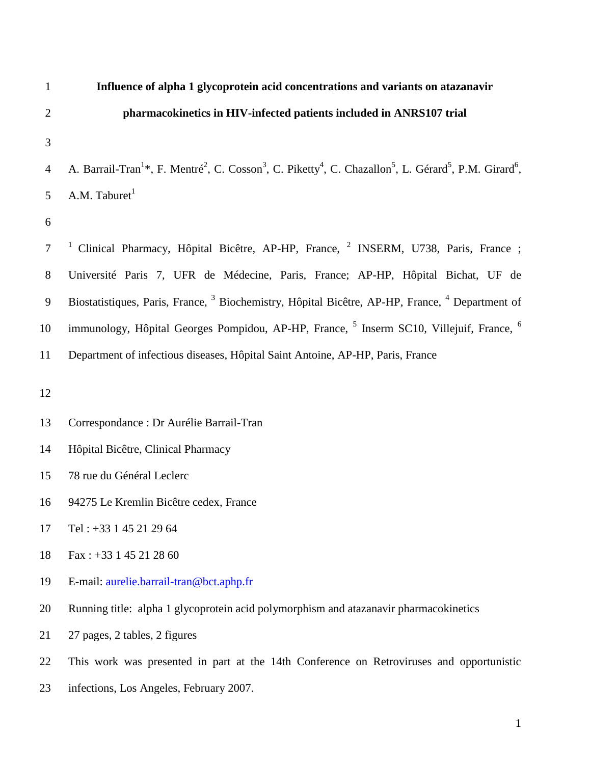| $\mathbf{1}$   | Influence of alpha 1 glycoprotein acid concentrations and variants on atazanavir                                                                                                            |
|----------------|---------------------------------------------------------------------------------------------------------------------------------------------------------------------------------------------|
| $\overline{2}$ | pharmacokinetics in HIV-infected patients included in ANRS107 trial                                                                                                                         |
| 3              |                                                                                                                                                                                             |
| $\overline{4}$ | A. Barrail-Tran <sup>1*</sup> , F. Mentré <sup>2</sup> , C. Cosson <sup>3</sup> , C. Piketty <sup>4</sup> , C. Chazallon <sup>5</sup> , L. Gérard <sup>5</sup> , P.M. Girard <sup>6</sup> , |
| 5              | A.M. Taburet <sup>1</sup>                                                                                                                                                                   |
| 6              |                                                                                                                                                                                             |
| $\overline{7}$ | Clinical Pharmacy, Hôpital Bicêtre, AP-HP, France, <sup>2</sup> INSERM, U738, Paris, France;                                                                                                |
| 8              | Université Paris 7, UFR de Médecine, Paris, France; AP-HP, Hôpital Bichat, UF de                                                                                                            |
| $\mathbf{9}$   | Biostatistiques, Paris, France, <sup>3</sup> Biochemistry, Hôpital Bicêtre, AP-HP, France, <sup>4</sup> Department of                                                                       |
| 10             | immunology, Hôpital Georges Pompidou, AP-HP, France, <sup>5</sup> Inserm SC10, Villejuif, France, <sup>6</sup>                                                                              |
| 11             | Department of infectious diseases, Hôpital Saint Antoine, AP-HP, Paris, France                                                                                                              |
| 12             |                                                                                                                                                                                             |
| 13             | Correspondance : Dr Aurélie Barrail-Tran                                                                                                                                                    |
| 14             | Hôpital Bicêtre, Clinical Pharmacy                                                                                                                                                          |
| 15             | 78 rue du Général Leclerc                                                                                                                                                                   |
| 16             | 94275 Le Kremlin Bicêtre cedex, France                                                                                                                                                      |
| 17             | Tel: +33 1 45 21 29 64                                                                                                                                                                      |
| 18             | Fax: $+33$ 1 45 21 28 60                                                                                                                                                                    |
| 19             | E-mail: <u>aurelie.barrail-tran@bct.aphp.fr</u>                                                                                                                                             |
| 20             | Running title: alpha 1 glycoprotein acid polymorphism and atazanavir pharmacokinetics                                                                                                       |
| 21             | 27 pages, 2 tables, 2 figures                                                                                                                                                               |
| 22             | This work was presented in part at the 14th Conference on Retroviruses and opportunistic                                                                                                    |
| 23             | infections, Los Angeles, February 2007.                                                                                                                                                     |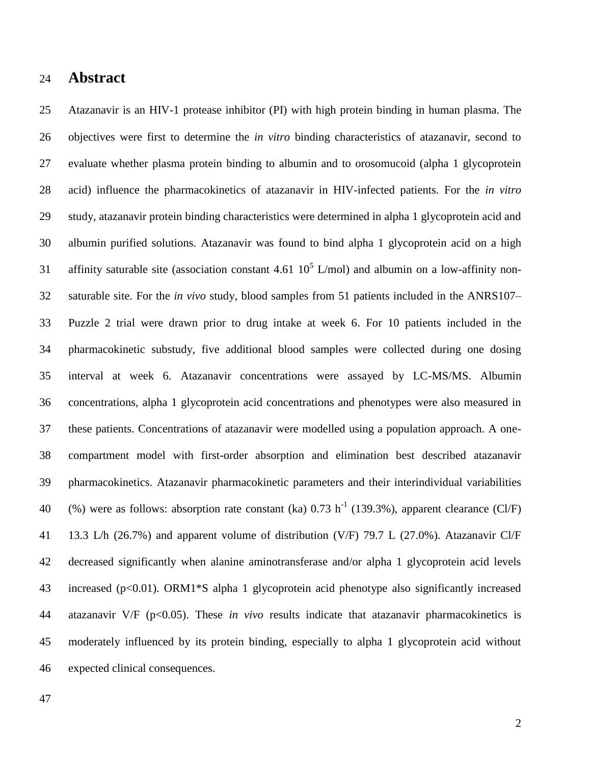### **Abstract**

 Atazanavir is an HIV-1 protease inhibitor (PI) with high protein binding in human plasma. The objectives were first to determine the *in vitro* binding characteristics of atazanavir, second to evaluate whether plasma protein binding to albumin and to orosomucoid (alpha 1 glycoprotein acid) influence the pharmacokinetics of atazanavir in HIV-infected patients. For the *in vitro* study, atazanavir protein binding characteristics were determined in alpha 1 glycoprotein acid and albumin purified solutions. Atazanavir was found to bind alpha 1 glycoprotein acid on a high 31 affinity saturable site (association constant 4.61  $10^5$  L/mol) and albumin on a low-affinity non- saturable site. For the *in vivo* study, blood samples from 51 patients included in the ANRS107– Puzzle 2 trial were drawn prior to drug intake at week 6. For 10 patients included in the pharmacokinetic substudy, five additional blood samples were collected during one dosing interval at week 6. Atazanavir concentrations were assayed by LC-MS/MS. Albumin concentrations, alpha 1 glycoprotein acid concentrations and phenotypes were also measured in these patients. Concentrations of atazanavir were modelled using a population approach. A one- compartment model with first-order absorption and elimination best described atazanavir pharmacokinetics. Atazanavir pharmacokinetic parameters and their interindividual variabilities 40 (%) were as follows: absorption rate constant (ka)  $0.73 \text{ h}^{-1}$  (139.3%), apparent clearance (Cl/F) 13.3 L/h (26.7%) and apparent volume of distribution (V/F) 79.7 L (27.0%). Atazanavir Cl/F decreased significantly when alanine aminotransferase and/or alpha 1 glycoprotein acid levels increased (p<0.01). ORM1\*S alpha 1 glycoprotein acid phenotype also significantly increased atazanavir V/F (p<0.05). These *in vivo* results indicate that atazanavir pharmacokinetics is moderately influenced by its protein binding, especially to alpha 1 glycoprotein acid without expected clinical consequences.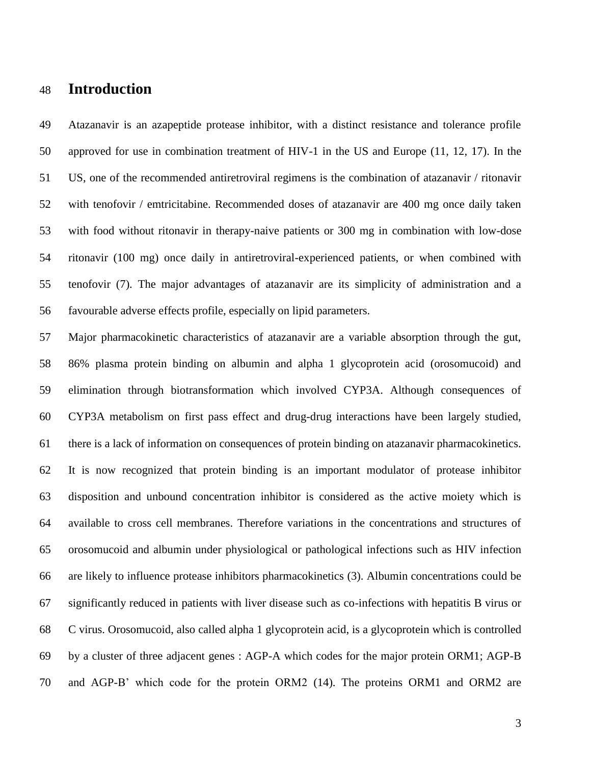## **Introduction**

 Atazanavir is an azapeptide protease inhibitor, with a distinct resistance and tolerance profile approved for use in combination treatment of HIV-1 in the US and Europe (11, 12, 17). In the US, one of the recommended antiretroviral regimens is the combination of atazanavir / ritonavir with tenofovir / emtricitabine. Recommended doses of atazanavir are 400 mg once daily taken with food without ritonavir in therapy-naive patients or 300 mg in combination with low-dose ritonavir (100 mg) once daily in antiretroviral-experienced patients, or when combined with tenofovir (7). The major advantages of atazanavir are its simplicity of administration and a favourable adverse effects profile, especially on lipid parameters.

 Major pharmacokinetic characteristics of atazanavir are a variable absorption through the gut, 86% plasma protein binding on albumin and alpha 1 glycoprotein acid (orosomucoid) and elimination through biotransformation which involved CYP3A. Although consequences of CYP3A metabolism on first pass effect and drug-drug interactions have been largely studied, there is a lack of information on consequences of protein binding on atazanavir pharmacokinetics. It is now recognized that protein binding is an important modulator of protease inhibitor disposition and unbound concentration inhibitor is considered as the active moiety which is available to cross cell membranes. Therefore variations in the concentrations and structures of orosomucoid and albumin under physiological or pathological infections such as HIV infection are likely to influence protease inhibitors pharmacokinetics (3). Albumin concentrations could be significantly reduced in patients with liver disease such as co-infections with hepatitis B virus or C virus. Orosomucoid, also called alpha 1 glycoprotein acid, is a glycoprotein which is controlled by a cluster of three adjacent genes : AGP-A which codes for the major protein ORM1; AGP-B and AGP-B' which code for the protein ORM2 (14). The proteins ORM1 and ORM2 are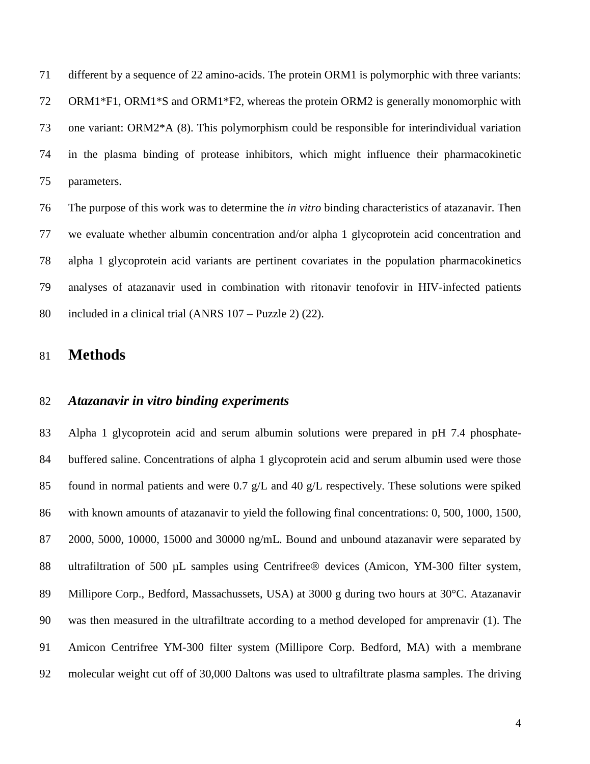different by a sequence of 22 amino-acids. The protein ORM1 is polymorphic with three variants: ORM1\*F1, ORM1\*S and ORM1\*F2, whereas the protein ORM2 is generally monomorphic with one variant: ORM2\*A (8). This polymorphism could be responsible for interindividual variation in the plasma binding of protease inhibitors, which might influence their pharmacokinetic parameters.

 The purpose of this work was to determine the *in vitro* binding characteristics of atazanavir. Then we evaluate whether albumin concentration and/or alpha 1 glycoprotein acid concentration and alpha 1 glycoprotein acid variants are pertinent covariates in the population pharmacokinetics analyses of atazanavir used in combination with ritonavir tenofovir in HIV-infected patients included in a clinical trial (ANRS 107 – Puzzle 2) (22).

### **Methods**

### *Atazanavir in vitro binding experiments*

 Alpha 1 glycoprotein acid and serum albumin solutions were prepared in pH 7.4 phosphate- buffered saline. Concentrations of alpha 1 glycoprotein acid and serum albumin used were those found in normal patients and were 0.7 g/L and 40 g/L respectively. These solutions were spiked with known amounts of atazanavir to yield the following final concentrations: 0, 500, 1000, 1500, 2000, 5000, 10000, 15000 and 30000 ng/mL. Bound and unbound atazanavir were separated by 88 ultrafiltration of 500 µL samples using Centrifree® devices (Amicon, YM-300 filter system, Millipore Corp., Bedford, Massachussets, USA) at 3000 g during two hours at 30°C. Atazanavir was then measured in the ultrafiltrate according to a method developed for amprenavir (1). The Amicon Centrifree YM-300 filter system (Millipore Corp. Bedford, MA) with a membrane molecular weight cut off of 30,000 Daltons was used to ultrafiltrate plasma samples. The driving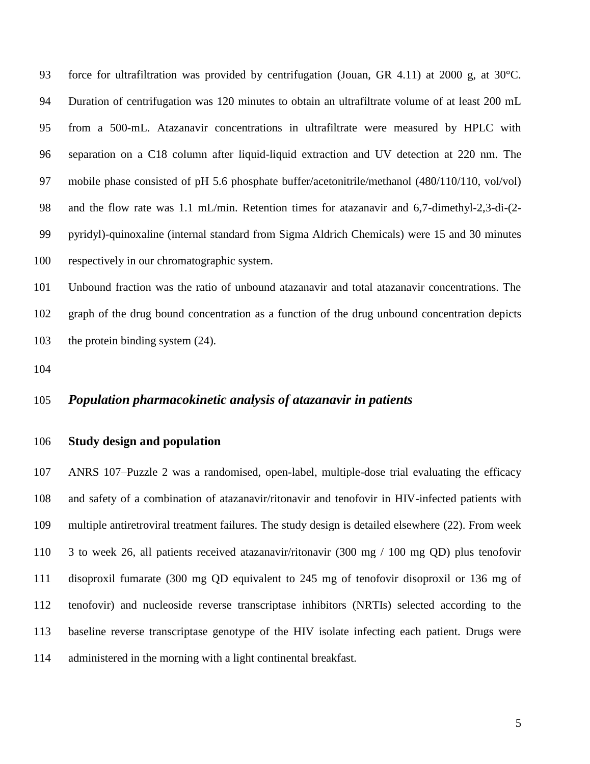force for ultrafiltration was provided by centrifugation (Jouan, GR 4.11) at 2000 g, at 30°C. Duration of centrifugation was 120 minutes to obtain an ultrafiltrate volume of at least 200 mL from a 500-mL. Atazanavir concentrations in ultrafiltrate were measured by HPLC with separation on a C18 column after liquid-liquid extraction and UV detection at 220 nm. The mobile phase consisted of pH 5.6 phosphate buffer/acetonitrile/methanol (480/110/110, vol/vol) and the flow rate was 1.1 mL/min. Retention times for atazanavir and 6,7-dimethyl-2,3-di-(2- pyridyl)-quinoxaline (internal standard from Sigma Aldrich Chemicals) were 15 and 30 minutes respectively in our chromatographic system.

 Unbound fraction was the ratio of unbound atazanavir and total atazanavir concentrations. The graph of the drug bound concentration as a function of the drug unbound concentration depicts 103 the protein binding system  $(24)$ .

### *Population pharmacokinetic analysis of atazanavir in patients*

#### **Study design and population**

 ANRS 107–Puzzle 2 was a randomised, open-label, multiple-dose trial evaluating the efficacy and safety of a combination of atazanavir/ritonavir and tenofovir in HIV-infected patients with multiple antiretroviral treatment failures. The study design is detailed elsewhere (22). From week 3 to week 26, all patients received atazanavir/ritonavir (300 mg / 100 mg QD) plus tenofovir disoproxil fumarate (300 mg QD equivalent to 245 mg of tenofovir disoproxil or 136 mg of tenofovir) and nucleoside reverse transcriptase inhibitors (NRTIs) selected according to the baseline reverse transcriptase genotype of the HIV isolate infecting each patient. Drugs were administered in the morning with a light continental breakfast.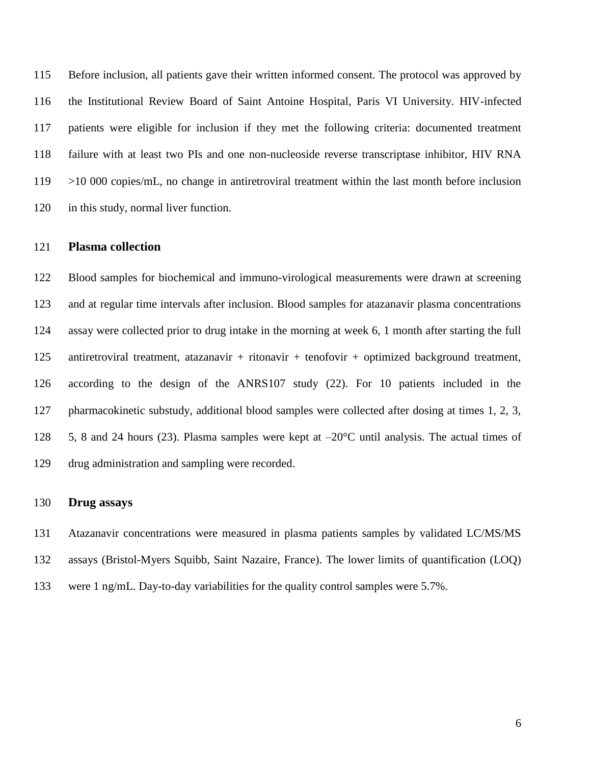Before inclusion, all patients gave their written informed consent. The protocol was approved by the Institutional Review Board of Saint Antoine Hospital, Paris VI University. HIV-infected patients were eligible for inclusion if they met the following criteria: documented treatment failure with at least two PIs and one non-nucleoside reverse transcriptase inhibitor, HIV RNA 119 >10 000 copies/mL, no change in antiretroviral treatment within the last month before inclusion in this study, normal liver function.

#### **Plasma collection**

 Blood samples for biochemical and immuno-virological measurements were drawn at screening and at regular time intervals after inclusion. Blood samples for atazanavir plasma concentrations assay were collected prior to drug intake in the morning at week 6, 1 month after starting the full antiretroviral treatment, atazanavir + ritonavir + tenofovir + optimized background treatment, according to the design of the ANRS107 study (22). For 10 patients included in the pharmacokinetic substudy, additional blood samples were collected after dosing at times 1, 2, 3, 128 5, 8 and 24 hours (23). Plasma samples were kept at  $-20^{\circ}$ C until analysis. The actual times of drug administration and sampling were recorded.

#### **Drug assays**

 Atazanavir concentrations were measured in plasma patients samples by validated LC/MS/MS assays (Bristol-Myers Squibb, Saint Nazaire, France). The lower limits of quantification (LOQ) were 1 ng/mL. Day-to-day variabilities for the quality control samples were 5.7%.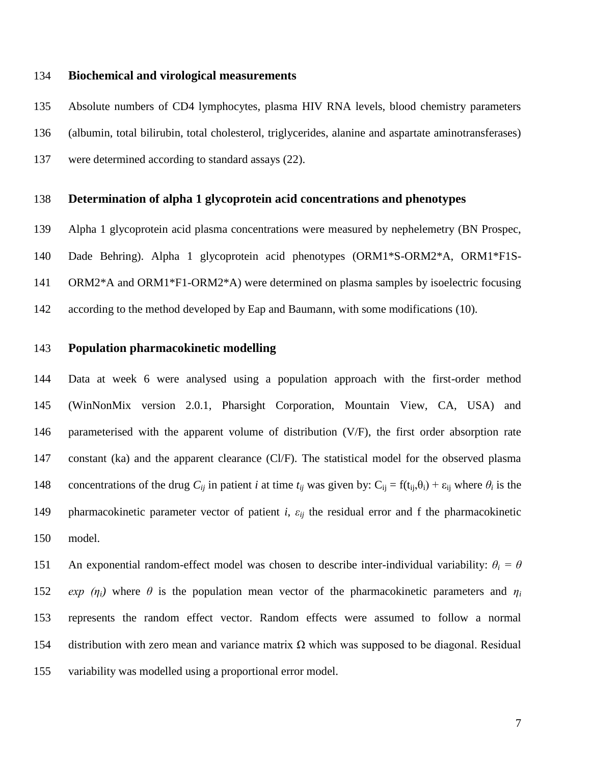### **Biochemical and virological measurements**

 Absolute numbers of CD4 lymphocytes, plasma HIV RNA levels, blood chemistry parameters (albumin, total bilirubin, total cholesterol, triglycerides, alanine and aspartate aminotransferases) were determined according to standard assays (22).

#### **Determination of alpha 1 glycoprotein acid concentrations and phenotypes**

 Alpha 1 glycoprotein acid plasma concentrations were measured by nephelemetry (BN Prospec, Dade Behring). Alpha 1 glycoprotein acid phenotypes (ORM1\*S-ORM2\*A, ORM1\*F1S- ORM2\*A and ORM1\*F1-ORM2\*A) were determined on plasma samples by isoelectric focusing according to the method developed by Eap and Baumann, with some modifications (10).

### **Population pharmacokinetic modelling**

 Data at week 6 were analysed using a population approach with the first-order method (WinNonMix version 2.0.1, Pharsight Corporation, Mountain View, CA, USA) and parameterised with the apparent volume of distribution (V/F), the first order absorption rate constant (ka) and the apparent clearance (Cl/F). The statistical model for the observed plasma concentrations of the drug  $C_{ij}$  in patient *i* at time  $t_{ij}$  was given by:  $C_{ij} = f(t_{ij}, \theta_i) + \varepsilon_{ij}$  where  $\theta_i$  is the pharmacokinetic parameter vector of patient *i*, *εij* the residual error and f the pharmacokinetic model.

151 An exponential random-effect model was chosen to describe inter-individual variability:  $\theta_i = \theta$ 152 *exp*  $(\eta_i)$  where  $\theta$  is the population mean vector of the pharmacokinetic parameters and  $\eta_i$  represents the random effect vector. Random effects were assumed to follow a normal 154 distribution with zero mean and variance matrix  $Ω$  which was supposed to be diagonal. Residual variability was modelled using a proportional error model.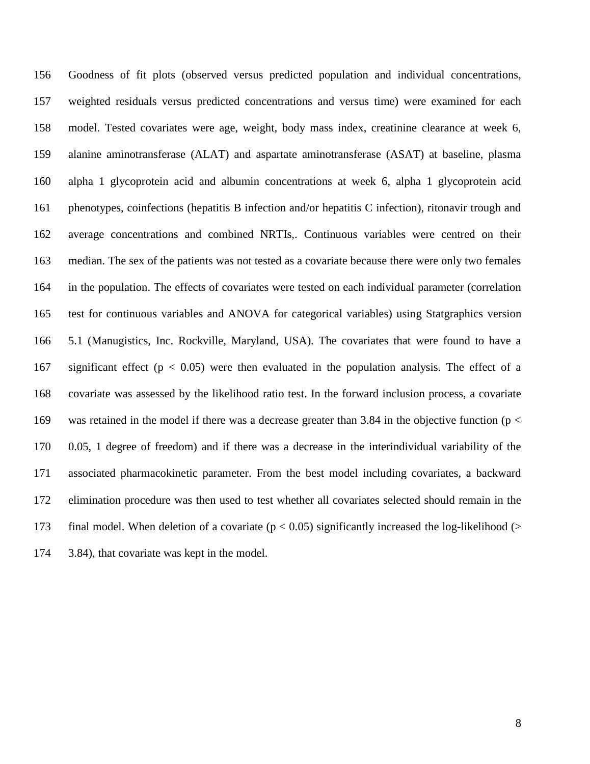Goodness of fit plots (observed versus predicted population and individual concentrations, weighted residuals versus predicted concentrations and versus time) were examined for each model. Tested covariates were age, weight, body mass index, creatinine clearance at week 6, alanine aminotransferase (ALAT) and aspartate aminotransferase (ASAT) at baseline, plasma alpha 1 glycoprotein acid and albumin concentrations at week 6, alpha 1 glycoprotein acid 161 phenotypes, coinfections (hepatitis B infection and/or hepatitis C infection), ritonavir trough and average concentrations and combined NRTIs,. Continuous variables were centred on their median. The sex of the patients was not tested as a covariate because there were only two females in the population. The effects of covariates were tested on each individual parameter (correlation test for continuous variables and ANOVA for categorical variables) using Statgraphics version 5.1 (Manugistics, Inc. Rockville, Maryland, USA). The covariates that were found to have a 167 significant effect ( $p < 0.05$ ) were then evaluated in the population analysis. The effect of a covariate was assessed by the likelihood ratio test. In the forward inclusion process, a covariate was retained in the model if there was a decrease greater than 3.84 in the objective function (p < 0.05, 1 degree of freedom) and if there was a decrease in the interindividual variability of the associated pharmacokinetic parameter. From the best model including covariates, a backward elimination procedure was then used to test whether all covariates selected should remain in the 173 final model. When deletion of a covariate ( $p < 0.05$ ) significantly increased the log-likelihood ( $>$ 3.84), that covariate was kept in the model.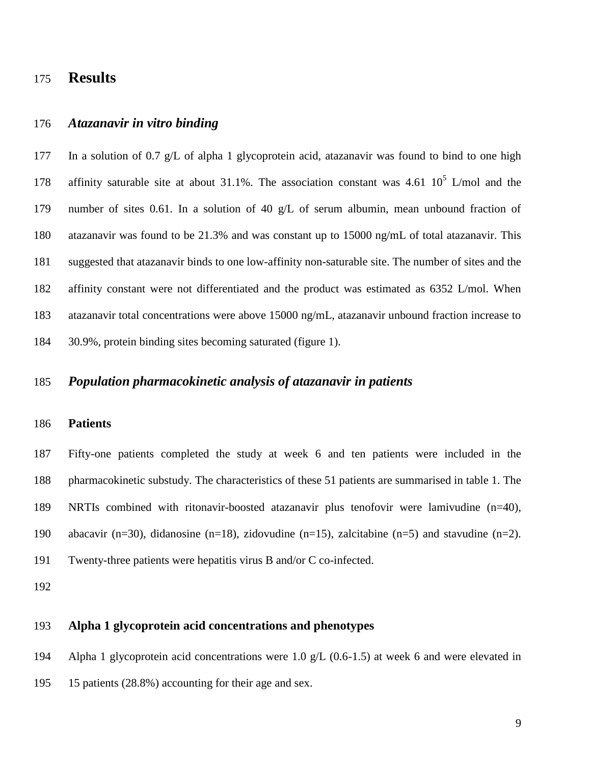## **Results**

### *Atazanavir in vitro binding*

 In a solution of 0.7 g/L of alpha 1 glycoprotein acid, atazanavir was found to bind to one high 178 affinity saturable site at about 31.1%. The association constant was 4.61  $10^5$  L/mol and the number of sites 0.61. In a solution of 40 g/L of serum albumin, mean unbound fraction of atazanavir was found to be 21.3% and was constant up to 15000 ng/mL of total atazanavir. This suggested that atazanavir binds to one low-affinity non-saturable site. The number of sites and the affinity constant were not differentiated and the product was estimated as 6352 L/mol. When atazanavir total concentrations were above 15000 ng/mL, atazanavir unbound fraction increase to 30.9%, protein binding sites becoming saturated (figure 1).

### *Population pharmacokinetic analysis of atazanavir in patients*

### **Patients**

 Fifty-one patients completed the study at week 6 and ten patients were included in the pharmacokinetic substudy. The characteristics of these 51 patients are summarised in table 1. The NRTIs combined with ritonavir-boosted atazanavir plus tenofovir were lamivudine (n=40), abacavir (n=30), didanosine (n=18), zidovudine (n=15), zalcitabine (n=5) and stavudine (n=2). Twenty-three patients were hepatitis virus B and/or C co-infected.

### **Alpha 1 glycoprotein acid concentrations and phenotypes**

 Alpha 1 glycoprotein acid concentrations were 1.0 g/L (0.6-1.5) at week 6 and were elevated in 15 patients (28.8%) accounting for their age and sex.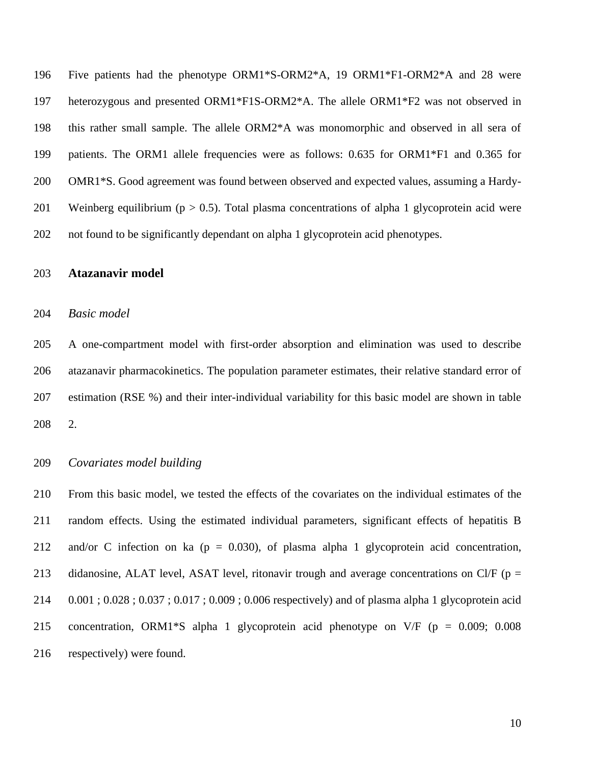Five patients had the phenotype ORM1\*S-ORM2\*A, 19 ORM1\*F1-ORM2\*A and 28 were heterozygous and presented ORM1\*F1S-ORM2\*A. The allele ORM1\*F2 was not observed in this rather small sample. The allele ORM2\*A was monomorphic and observed in all sera of patients. The ORM1 allele frequencies were as follows: 0.635 for ORM1\*F1 and 0.365 for OMR1\*S. Good agreement was found between observed and expected values, assuming a Hardy-201 Weinberg equilibrium ( $p > 0.5$ ). Total plasma concentrations of alpha 1 glycoprotein acid were not found to be significantly dependant on alpha 1 glycoprotein acid phenotypes.

### **Atazanavir model**

#### *Basic model*

 A one-compartment model with first-order absorption and elimination was used to describe atazanavir pharmacokinetics. The population parameter estimates, their relative standard error of estimation (RSE %) and their inter-individual variability for this basic model are shown in table 2.

### *Covariates model building*

 From this basic model, we tested the effects of the covariates on the individual estimates of the random effects. Using the estimated individual parameters, significant effects of hepatitis B 212 and/or C infection on ka ( $p = 0.030$ ), of plasma alpha 1 glycoprotein acid concentration, 213 didanosine, ALAT level, ASAT level, ritonavir trough and average concentrations on Cl/F ( $p =$  0.001 ; 0.028 ; 0.037 ; 0.017 ; 0.009 ; 0.006 respectively) and of plasma alpha 1 glycoprotein acid concentration, ORM1\*S alpha 1 glycoprotein acid phenotype on V/F (p = 0.009; 0.008 respectively) were found.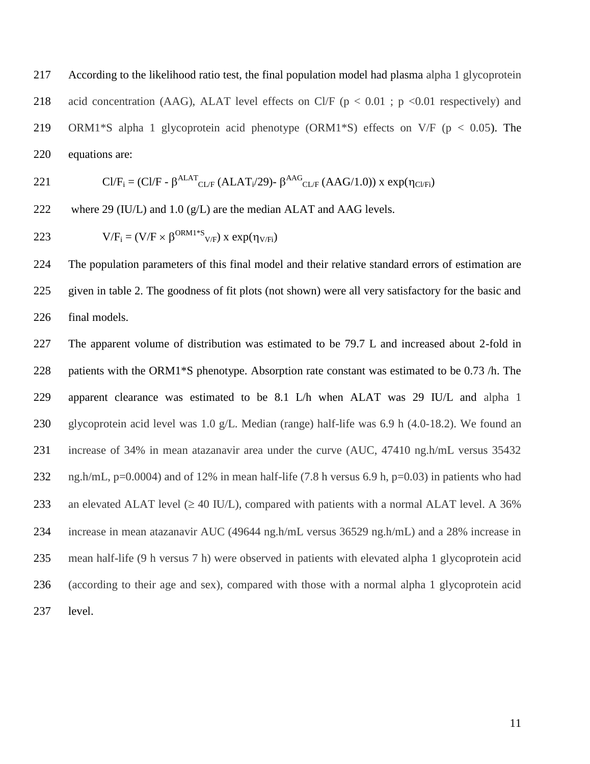According to the likelihood ratio test, the final population model had plasma alpha 1 glycoprotein 218 acid concentration (AAG), ALAT level effects on Cl/F ( $p < 0.01$ ;  $p < 0.01$  respectively) and ORM1\*S alpha 1 glycoprotein acid phenotype (ORM1\*S) effects on V/F (p < 0.05). The equations are:

$$
C l / F_i = (C l / F - \beta^{ALAT} C l / F (ALAT_i/29) - \beta^{AAG} C l / F (AAG/1.0)) \times exp(\eta_{C l / F_i})
$$

222 where 29 (IU/L) and 1.0  $(g/L)$  are the median ALAT and AAG levels.

223 
$$
V/F_i = (V/F \times \beta^{ORM1*S}V) \times exp(\eta_{V/Fi})
$$

 The population parameters of this final model and their relative standard errors of estimation are given in table 2. The goodness of fit plots (not shown) were all very satisfactory for the basic and final models.

 The apparent volume of distribution was estimated to be 79.7 L and increased about 2-fold in 228 patients with the ORM1<sup>\*</sup>S phenotype. Absorption rate constant was estimated to be 0.73 /h. The apparent clearance was estimated to be 8.1 L/h when ALAT was 29 IU/L and alpha 1 glycoprotein acid level was 1.0 g/L. Median (range) half-life was 6.9 h (4.0-18.2). We found an increase of 34% in mean atazanavir area under the curve (AUC, 47410 ng.h/mL versus 35432 ng.h/mL, p=0.0004) and of 12% in mean half-life (7.8 h versus 6.9 h, p=0.03) in patients who had 233 an elevated ALAT level  $(\geq 40 \text{ IU/L})$ , compared with patients with a normal ALAT level. A 36% increase in mean atazanavir AUC (49644 ng.h/mL versus 36529 ng.h/mL) and a 28% increase in mean half-life (9 h versus 7 h) were observed in patients with elevated alpha 1 glycoprotein acid (according to their age and sex), compared with those with a normal alpha 1 glycoprotein acid level.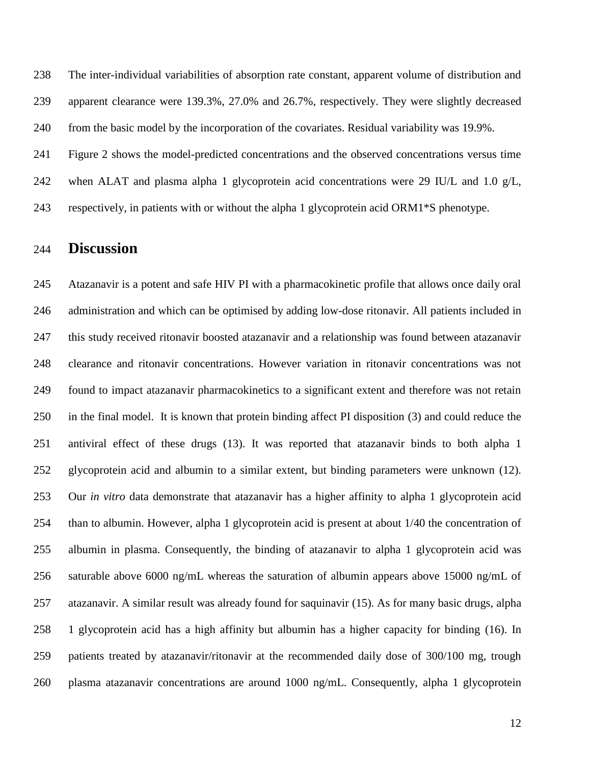The inter-individual variabilities of absorption rate constant, apparent volume of distribution and apparent clearance were 139.3%, 27.0% and 26.7%, respectively. They were slightly decreased from the basic model by the incorporation of the covariates. Residual variability was 19.9%.

Figure 2 shows the model-predicted concentrations and the observed concentrations versus time

when ALAT and plasma alpha 1 glycoprotein acid concentrations were 29 IU/L and 1.0 g/L,

respectively, in patients with or without the alpha 1 glycoprotein acid ORM1\*S phenotype.

### **Discussion**

 Atazanavir is a potent and safe HIV PI with a pharmacokinetic profile that allows once daily oral administration and which can be optimised by adding low-dose ritonavir. All patients included in this study received ritonavir boosted atazanavir and a relationship was found between atazanavir clearance and ritonavir concentrations. However variation in ritonavir concentrations was not found to impact atazanavir pharmacokinetics to a significant extent and therefore was not retain in the final model. It is known that protein binding affect PI disposition (3) and could reduce the antiviral effect of these drugs (13). It was reported that atazanavir binds to both alpha 1 glycoprotein acid and albumin to a similar extent, but binding parameters were unknown (12). Our *in vitro* data demonstrate that atazanavir has a higher affinity to alpha 1 glycoprotein acid than to albumin. However, alpha 1 glycoprotein acid is present at about 1/40 the concentration of albumin in plasma. Consequently, the binding of atazanavir to alpha 1 glycoprotein acid was saturable above 6000 ng/mL whereas the saturation of albumin appears above 15000 ng/mL of atazanavir. A similar result was already found for saquinavir (15). As for many basic drugs, alpha 1 glycoprotein acid has a high affinity but albumin has a higher capacity for binding (16). In patients treated by atazanavir/ritonavir at the recommended daily dose of 300/100 mg, trough plasma atazanavir concentrations are around 1000 ng/mL. Consequently, alpha 1 glycoprotein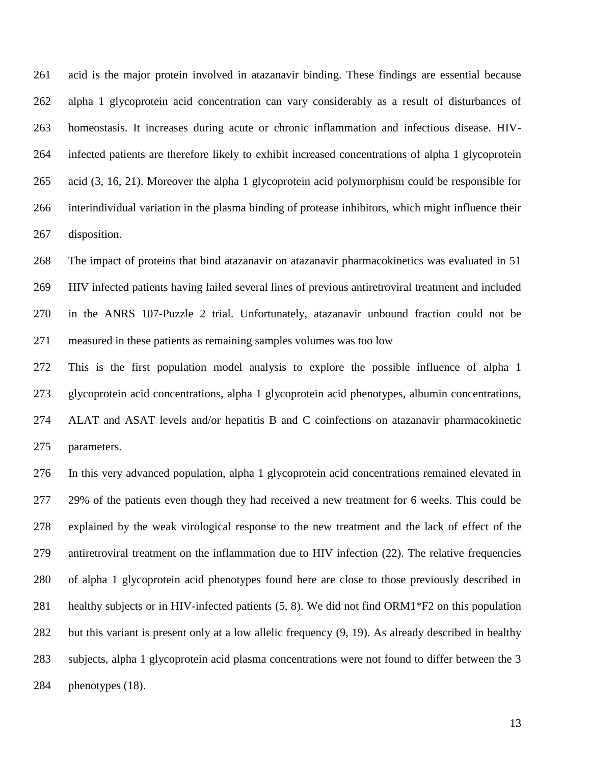acid is the major protein involved in atazanavir binding. These findings are essential because alpha 1 glycoprotein acid concentration can vary considerably as a result of disturbances of homeostasis. It increases during acute or chronic inflammation and infectious disease. HIV- infected patients are therefore likely to exhibit increased concentrations of alpha 1 glycoprotein acid (3, 16, 21). Moreover the alpha 1 glycoprotein acid polymorphism could be responsible for interindividual variation in the plasma binding of protease inhibitors, which might influence their disposition.

 The impact of proteins that bind atazanavir on atazanavir pharmacokinetics was evaluated in 51 HIV infected patients having failed several lines of previous antiretroviral treatment and included in the ANRS 107-Puzzle 2 trial. Unfortunately, atazanavir unbound fraction could not be measured in these patients as remaining samples volumes was too low

 This is the first population model analysis to explore the possible influence of alpha 1 glycoprotein acid concentrations, alpha 1 glycoprotein acid phenotypes, albumin concentrations, ALAT and ASAT levels and/or hepatitis B and C coinfections on atazanavir pharmacokinetic parameters.

 In this very advanced population, alpha 1 glycoprotein acid concentrations remained elevated in 29% of the patients even though they had received a new treatment for 6 weeks. This could be explained by the weak virological response to the new treatment and the lack of effect of the antiretroviral treatment on the inflammation due to HIV infection (22). The relative frequencies of alpha 1 glycoprotein acid phenotypes found here are close to those previously described in healthy subjects or in HIV-infected patients (5, 8). We did not find ORM1\*F2 on this population but this variant is present only at a low allelic frequency (9, 19). As already described in healthy subjects, alpha 1 glycoprotein acid plasma concentrations were not found to differ between the 3 phenotypes (18).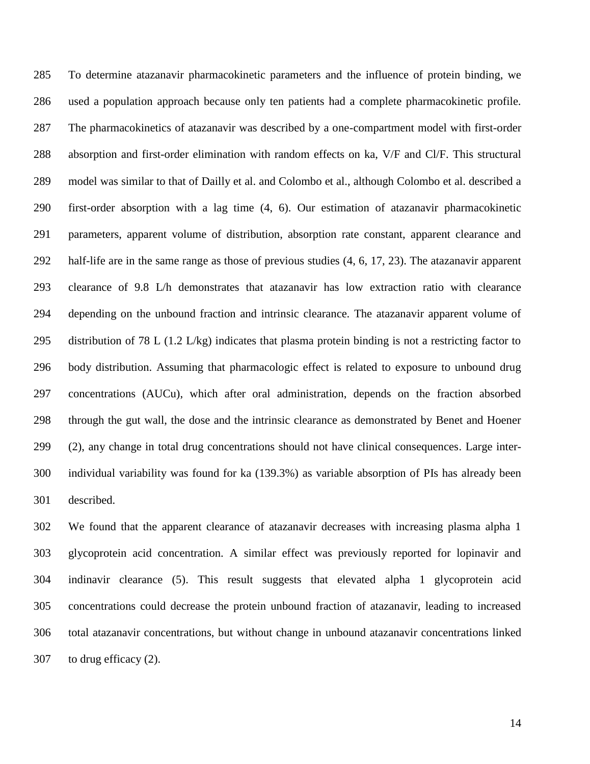To determine atazanavir pharmacokinetic parameters and the influence of protein binding, we used a population approach because only ten patients had a complete pharmacokinetic profile. The pharmacokinetics of atazanavir was described by a one-compartment model with first-order absorption and first-order elimination with random effects on ka, V/F and Cl/F. This structural model was similar to that of Dailly et al. and Colombo et al., although Colombo et al. described a first-order absorption with a lag time (4, 6). Our estimation of atazanavir pharmacokinetic parameters, apparent volume of distribution, absorption rate constant, apparent clearance and half-life are in the same range as those of previous studies (4, 6, 17, 23). The atazanavir apparent clearance of 9.8 L/h demonstrates that atazanavir has low extraction ratio with clearance depending on the unbound fraction and intrinsic clearance. The atazanavir apparent volume of distribution of 78 L (1.2 L/kg) indicates that plasma protein binding is not a restricting factor to body distribution. Assuming that pharmacologic effect is related to exposure to unbound drug concentrations (AUCu), which after oral administration, depends on the fraction absorbed through the gut wall, the dose and the intrinsic clearance as demonstrated by Benet and Hoener (2), any change in total drug concentrations should not have clinical consequences. Large inter- individual variability was found for ka (139.3%) as variable absorption of PIs has already been described.

 We found that the apparent clearance of atazanavir decreases with increasing plasma alpha 1 glycoprotein acid concentration. A similar effect was previously reported for lopinavir and indinavir clearance (5). This result suggests that elevated alpha 1 glycoprotein acid concentrations could decrease the protein unbound fraction of atazanavir, leading to increased total atazanavir concentrations, but without change in unbound atazanavir concentrations linked to drug efficacy (2).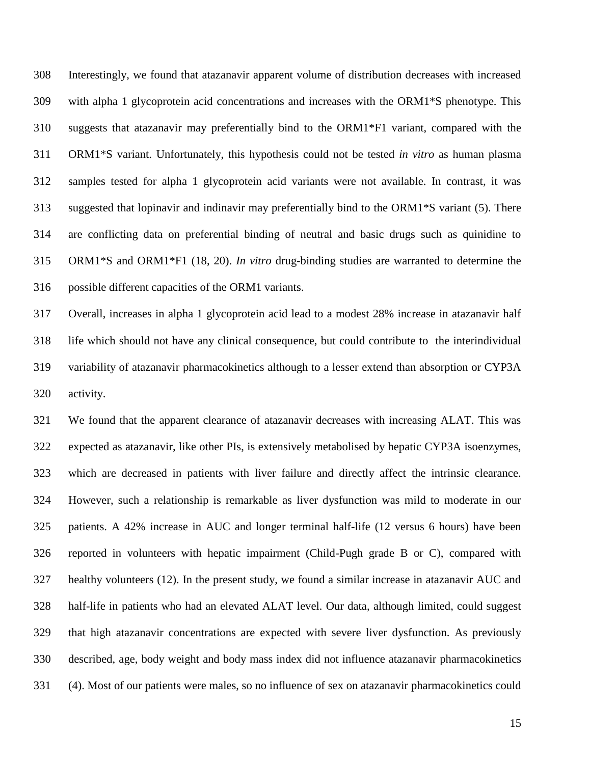Interestingly, we found that atazanavir apparent volume of distribution decreases with increased with alpha 1 glycoprotein acid concentrations and increases with the ORM1\*S phenotype. This suggests that atazanavir may preferentially bind to the ORM1\*F1 variant, compared with the ORM1\*S variant. Unfortunately, this hypothesis could not be tested *in vitro* as human plasma samples tested for alpha 1 glycoprotein acid variants were not available. In contrast, it was suggested that lopinavir and indinavir may preferentially bind to the ORM1\*S variant (5). There are conflicting data on preferential binding of neutral and basic drugs such as quinidine to ORM1\*S and ORM1\*F1 (18, 20). *In vitro* drug-binding studies are warranted to determine the possible different capacities of the ORM1 variants.

 Overall, increases in alpha 1 glycoprotein acid lead to a modest 28% increase in atazanavir half life which should not have any clinical consequence, but could contribute to the interindividual variability of atazanavir pharmacokinetics although to a lesser extend than absorption or CYP3A activity.

 We found that the apparent clearance of atazanavir decreases with increasing ALAT. This was expected as atazanavir, like other PIs, is extensively metabolised by hepatic CYP3A isoenzymes, which are decreased in patients with liver failure and directly affect the intrinsic clearance. However, such a relationship is remarkable as liver dysfunction was mild to moderate in our patients. A 42% increase in AUC and longer terminal half-life (12 versus 6 hours) have been reported in volunteers with hepatic impairment (Child-Pugh grade B or C), compared with healthy volunteers (12). In the present study, we found a similar increase in atazanavir AUC and half-life in patients who had an elevated ALAT level. Our data, although limited, could suggest that high atazanavir concentrations are expected with severe liver dysfunction. As previously described, age, body weight and body mass index did not influence atazanavir pharmacokinetics (4). Most of our patients were males, so no influence of sex on atazanavir pharmacokinetics could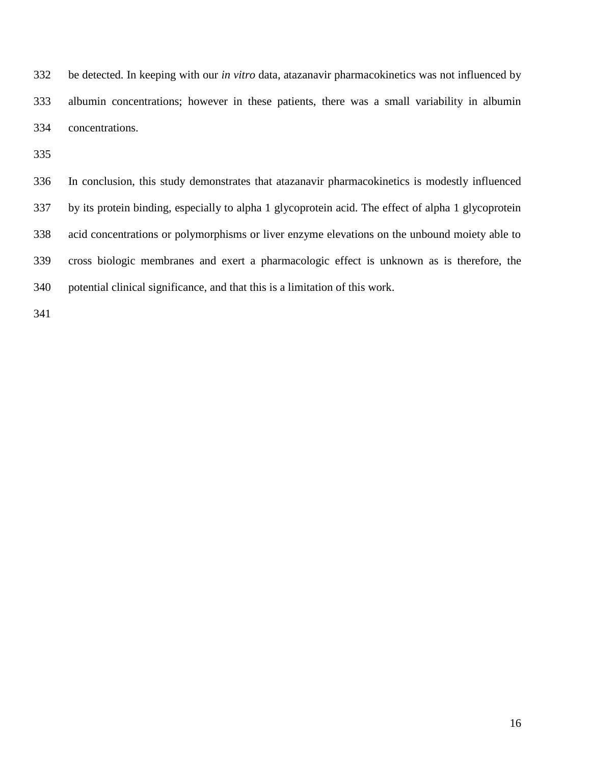be detected. In keeping with our *in vitro* data, atazanavir pharmacokinetics was not influenced by albumin concentrations; however in these patients, there was a small variability in albumin concentrations.

 In conclusion, this study demonstrates that atazanavir pharmacokinetics is modestly influenced by its protein binding, especially to alpha 1 glycoprotein acid. The effect of alpha 1 glycoprotein acid concentrations or polymorphisms or liver enzyme elevations on the unbound moiety able to cross biologic membranes and exert a pharmacologic effect is unknown as is therefore, the potential clinical significance, and that this is a limitation of this work.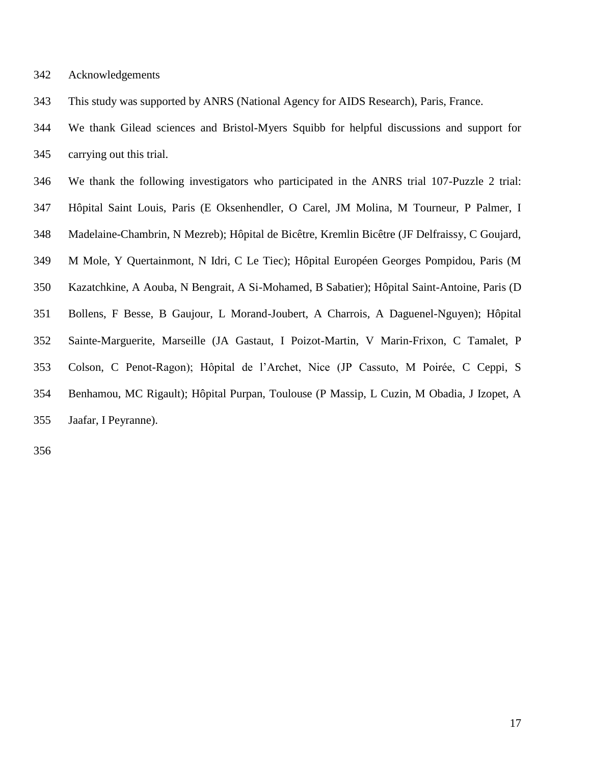|  | 342 | Acknowledgements |
|--|-----|------------------|
|--|-----|------------------|

This study was supported by ANRS (National Agency for AIDS Research), Paris, France.

 We thank Gilead sciences and Bristol-Myers Squibb for helpful discussions and support for carrying out this trial.

 We thank the following investigators who participated in the ANRS trial 107-Puzzle 2 trial: Hôpital Saint Louis, Paris (E Oksenhendler, O Carel, JM Molina, M Tourneur, P Palmer, I Madelaine-Chambrin, N Mezreb); Hôpital de Bicêtre, Kremlin Bicêtre (JF Delfraissy, C Goujard, M Mole, Y Quertainmont, N Idri, C Le Tiec); Hôpital Européen Georges Pompidou, Paris (M Kazatchkine, A Aouba, N Bengrait, A Si-Mohamed, B Sabatier); Hôpital Saint-Antoine, Paris (D Bollens, F Besse, B Gaujour, L Morand-Joubert, A Charrois, A Daguenel-Nguyen); Hôpital Sainte-Marguerite, Marseille (JA Gastaut, I Poizot-Martin, V Marin-Frixon, C Tamalet, P Colson, C Penot-Ragon); Hôpital de l'Archet, Nice (JP Cassuto, M Poirée, C Ceppi, S Benhamou, MC Rigault); Hôpital Purpan, Toulouse (P Massip, L Cuzin, M Obadia, J Izopet, A Jaafar, I Peyranne).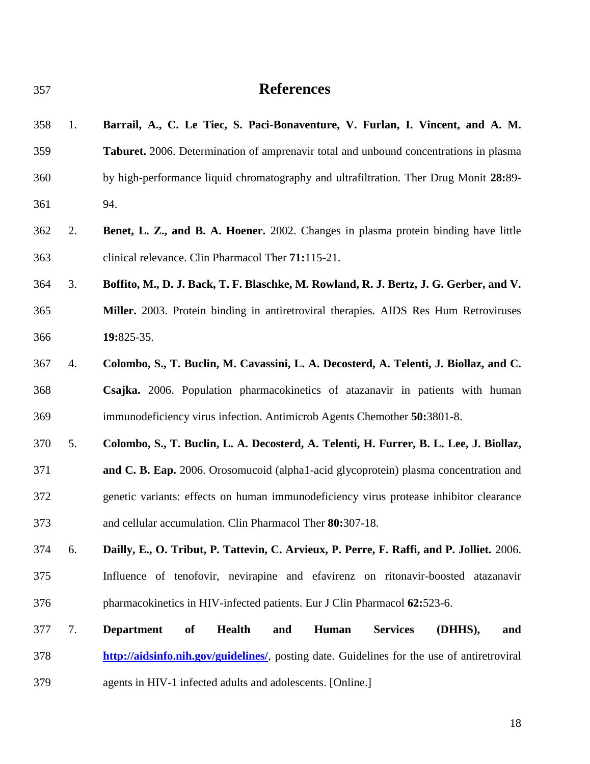# **References**

| 358 | 1. | Barrail, A., C. Le Tiec, S. Paci-Bonaventure, V. Furlan, I. Vincent, and A. M.                       |  |  |  |
|-----|----|------------------------------------------------------------------------------------------------------|--|--|--|
| 359 |    | Taburet. 2006. Determination of amprenavir total and unbound concentrations in plasma                |  |  |  |
| 360 |    | by high-performance liquid chromatography and ultrafiltration. Ther Drug Monit 28:89-                |  |  |  |
| 361 |    | 94.                                                                                                  |  |  |  |
| 362 | 2. | <b>Benet, L. Z., and B. A. Hoener.</b> 2002. Changes in plasma protein binding have little           |  |  |  |
| 363 |    | clinical relevance. Clin Pharmacol Ther 71:115-21.                                                   |  |  |  |
| 364 | 3. | Boffito, M., D. J. Back, T. F. Blaschke, M. Rowland, R. J. Bertz, J. G. Gerber, and V.               |  |  |  |
| 365 |    | Miller. 2003. Protein binding in antiretroviral therapies. AIDS Res Hum Retroviruses                 |  |  |  |
| 366 |    | 19:825-35.                                                                                           |  |  |  |
| 367 | 4. | Colombo, S., T. Buclin, M. Cavassini, L. A. Decosterd, A. Telenti, J. Biollaz, and C.                |  |  |  |
| 368 |    | Csajka. 2006. Population pharmacokinetics of atazanavir in patients with human                       |  |  |  |
| 369 |    | immunodeficiency virus infection. Antimicrob Agents Chemother 50:3801-8.                             |  |  |  |
| 370 | 5. | Colombo, S., T. Buclin, L. A. Decosterd, A. Telenti, H. Furrer, B. L. Lee, J. Biollaz,               |  |  |  |
| 371 |    | and C. B. Eap. 2006. Orosomucoid (alpha1-acid glycoprotein) plasma concentration and                 |  |  |  |
| 372 |    | genetic variants: effects on human immunodeficiency virus protease inhibitor clearance               |  |  |  |
| 373 |    | and cellular accumulation. Clin Pharmacol Ther 80:307-18.                                            |  |  |  |
| 374 | 6. | Dailly, E., O. Tribut, P. Tattevin, C. Arvieux, P. Perre, F. Raffi, and P. Jolliet. 2006.            |  |  |  |
| 375 |    | Influence of tenofovir, nevirapine and efavirenz on ritonavir-boosted atazanavir                     |  |  |  |
| 376 |    | pharmacokinetics in HIV-infected patients. Eur J Clin Pharmacol 62:523-6.                            |  |  |  |
| 377 | 7. | <b>Department</b><br><b>Health</b><br><b>Services</b><br>of<br>and<br><b>Human</b><br>(DHHS),<br>and |  |  |  |
| 378 |    | http://aidsinfo.nih.gov/guidelines/, posting date. Guidelines for the use of antiretroviral          |  |  |  |
| 379 |    | agents in HIV-1 infected adults and adolescents. [Online.]                                           |  |  |  |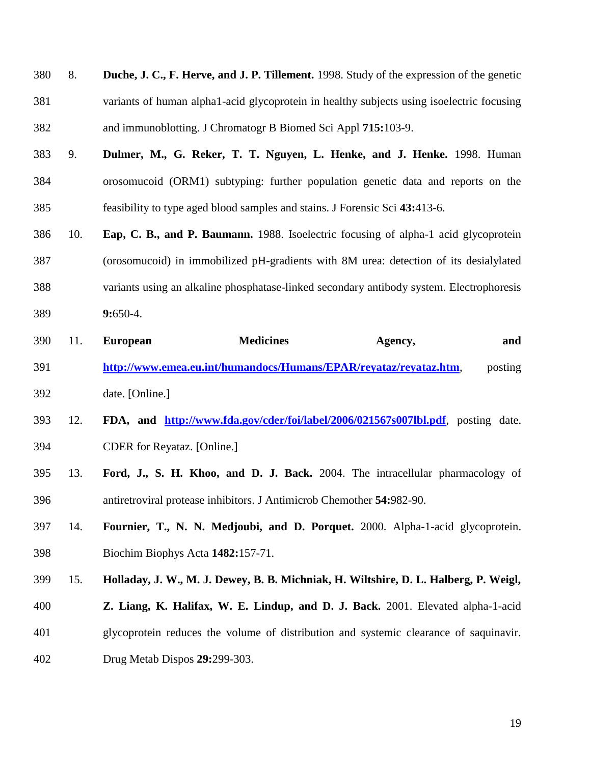| 380 | 8. | Duche, J. C., F. Herve, and J. P. Tillement. 1998. Study of the expression of the genetic |
|-----|----|-------------------------------------------------------------------------------------------|
| 381 |    | variants of human alpha1-acid glycoprotein in healthy subjects using isoelectric focusing |
| 382 |    | and immunoblotting. J Chromatogr B Biomed Sci Appl 715:103-9.                             |

- 9. **Dulmer, M., G. Reker, T. T. Nguyen, L. Henke, and J. Henke.** 1998. Human orosomucoid (ORM1) subtyping: further population genetic data and reports on the feasibility to type aged blood samples and stains. J Forensic Sci **43:**413-6.
- 10. **Eap, C. B., and P. Baumann.** 1988. Isoelectric focusing of alpha-1 acid glycoprotein (orosomucoid) in immobilized pH-gradients with 8M urea: detection of its desialylated variants using an alkaline phosphatase-linked secondary antibody system. Electrophoresis **9:**650-4.
- 11. **European Medicines Agency, and <http://www.emea.eu.int/humandocs/Humans/EPAR/reyataz/reyataz.htm>**, posting date. [Online.]
- 12. **FDA, and <http://www.fda.gov/cder/foi/label/2006/021567s007lbl.pdf>**, posting date. CDER for Reyataz. [Online.]
- 13. **Ford, J., S. H. Khoo, and D. J. Back.** 2004. The intracellular pharmacology of antiretroviral protease inhibitors. J Antimicrob Chemother **54:**982-90.
- 14. **Fournier, T., N. N. Medjoubi, and D. Porquet.** 2000. Alpha-1-acid glycoprotein. Biochim Biophys Acta **1482:**157-71.
- 15. **Holladay, J. W., M. J. Dewey, B. B. Michniak, H. Wiltshire, D. L. Halberg, P. Weigl,**
- **Z. Liang, K. Halifax, W. E. Lindup, and D. J. Back.** 2001. Elevated alpha-1-acid
- glycoprotein reduces the volume of distribution and systemic clearance of saquinavir.
- Drug Metab Dispos **29:**299-303.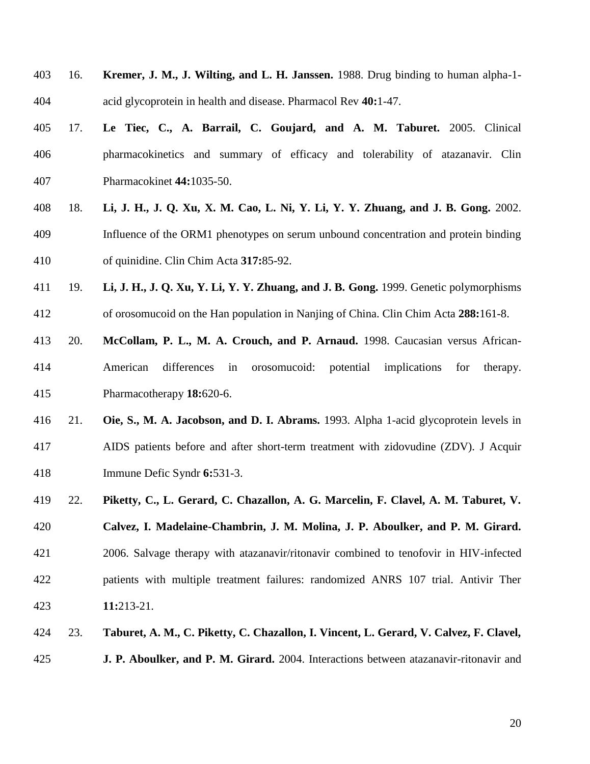- 16. **Kremer, J. M., J. Wilting, and L. H. Janssen.** 1988. Drug binding to human alpha-1- acid glycoprotein in health and disease. Pharmacol Rev **40:**1-47.
- 17. **Le Tiec, C., A. Barrail, C. Goujard, and A. M. Taburet.** 2005. Clinical pharmacokinetics and summary of efficacy and tolerability of atazanavir. Clin Pharmacokinet **44:**1035-50.
- 18. **Li, J. H., J. Q. Xu, X. M. Cao, L. Ni, Y. Li, Y. Y. Zhuang, and J. B. Gong.** 2002. Influence of the ORM1 phenotypes on serum unbound concentration and protein binding of quinidine. Clin Chim Acta **317:**85-92.
- 19. **Li, J. H., J. Q. Xu, Y. Li, Y. Y. Zhuang, and J. B. Gong.** 1999. Genetic polymorphisms of orosomucoid on the Han population in Nanjing of China. Clin Chim Acta **288:**161-8.
- 20. **McCollam, P. L., M. A. Crouch, and P. Arnaud.** 1998. Caucasian versus African- American differences in orosomucoid: potential implications for therapy. Pharmacotherapy **18:**620-6.
- 21. **Oie, S., M. A. Jacobson, and D. I. Abrams.** 1993. Alpha 1-acid glycoprotein levels in AIDS patients before and after short-term treatment with zidovudine (ZDV). J Acquir Immune Defic Syndr **6:**531-3.
- 22. **Piketty, C., L. Gerard, C. Chazallon, A. G. Marcelin, F. Clavel, A. M. Taburet, V. Calvez, I. Madelaine-Chambrin, J. M. Molina, J. P. Aboulker, and P. M. Girard.** 2006. Salvage therapy with atazanavir/ritonavir combined to tenofovir in HIV-infected patients with multiple treatment failures: randomized ANRS 107 trial. Antivir Ther **11:**213-21.
- 23. **Taburet, A. M., C. Piketty, C. Chazallon, I. Vincent, L. Gerard, V. Calvez, F. Clavel,**
- **J. P. Aboulker, and P. M. Girard.** 2004. Interactions between atazanavir-ritonavir and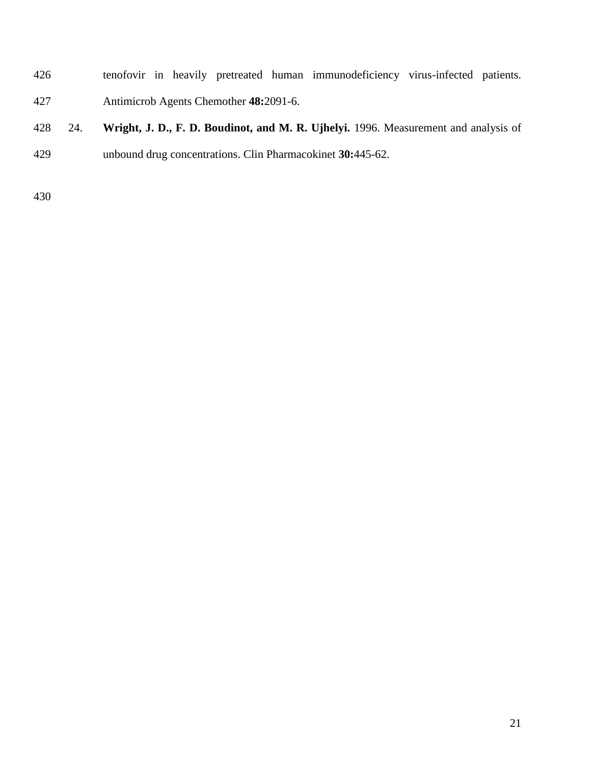- tenofovir in heavily pretreated human immunodeficiency virus-infected patients. Antimicrob Agents Chemother **48:**2091-6.
- 24. **Wright, J. D., F. D. Boudinot, and M. R. Ujhelyi.** 1996. Measurement and analysis of unbound drug concentrations. Clin Pharmacokinet **30:**445-62.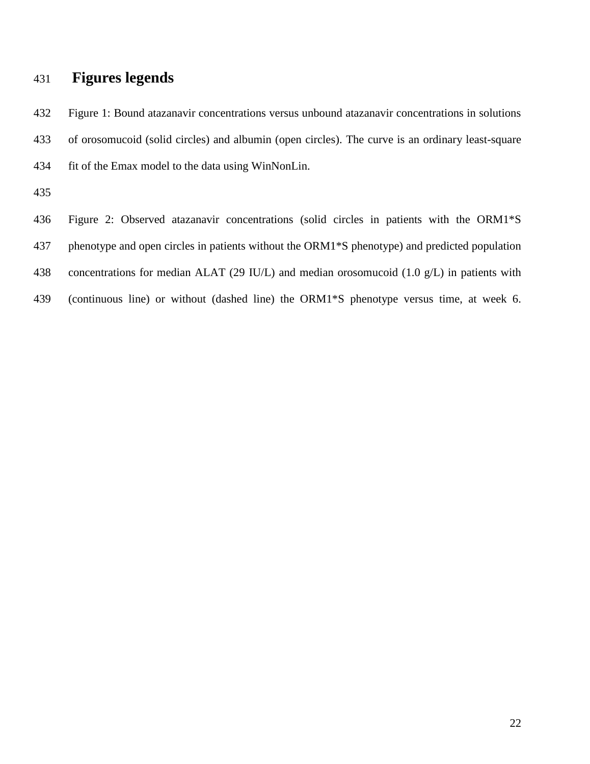## **Figures legends**

 Figure 1: Bound atazanavir concentrations versus unbound atazanavir concentrations in solutions of orosomucoid (solid circles) and albumin (open circles). The curve is an ordinary least-square fit of the Emax model to the data using WinNonLin.

Figure 2: Observed atazanavir concentrations (solid circles in patients with the ORM1\*S

phenotype and open circles in patients without the ORM1\*S phenotype) and predicted population

concentrations for median ALAT (29 IU/L) and median orosomucoid (1.0 g/L) in patients with

(continuous line) or without (dashed line) the ORM1\*S phenotype versus time, at week 6.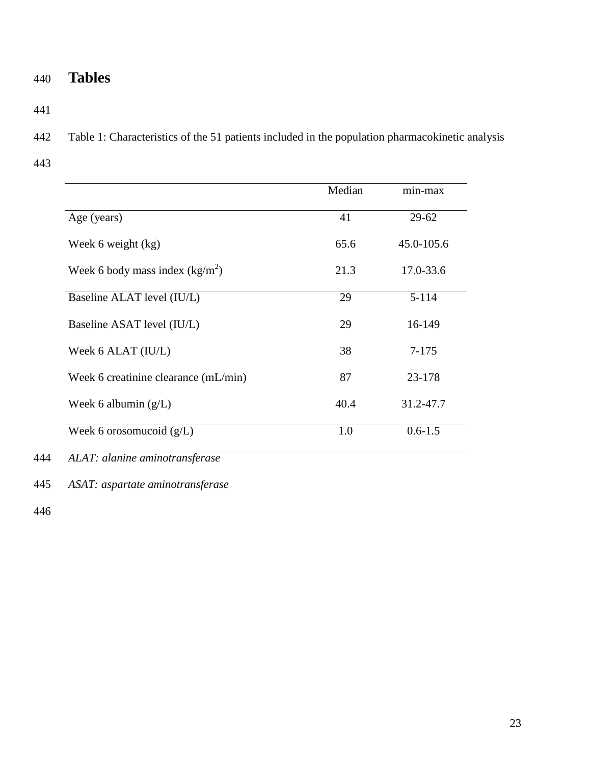# 440 **Tables**

441

442 Table 1: Characteristics of the 51 patients included in the population pharmacokinetic analysis

443

|                                      | Median | min-max     |
|--------------------------------------|--------|-------------|
| Age (years)                          | 41     | $29 - 62$   |
| Week 6 weight (kg)                   | 65.6   | 45.0-105.6  |
| Week 6 body mass index $(kg/m^2)$    | 21.3   | 17.0-33.6   |
| Baseline ALAT level (IU/L)           | 29     | $5 - 114$   |
| Baseline ASAT level (IU/L)           | 29     | 16-149      |
| Week 6 ALAT (IU/L)                   | 38     | 7-175       |
| Week 6 creatinine clearance (mL/min) | 87     | 23-178      |
| Week 6 albumin $(g/L)$               | 40.4   | 31.2-47.7   |
| Week 6 orosomucoid $(g/L)$           | 1.0    | $0.6 - 1.5$ |

444 *ALAT: alanine aminotransferase*

445 *ASAT: aspartate aminotransferase*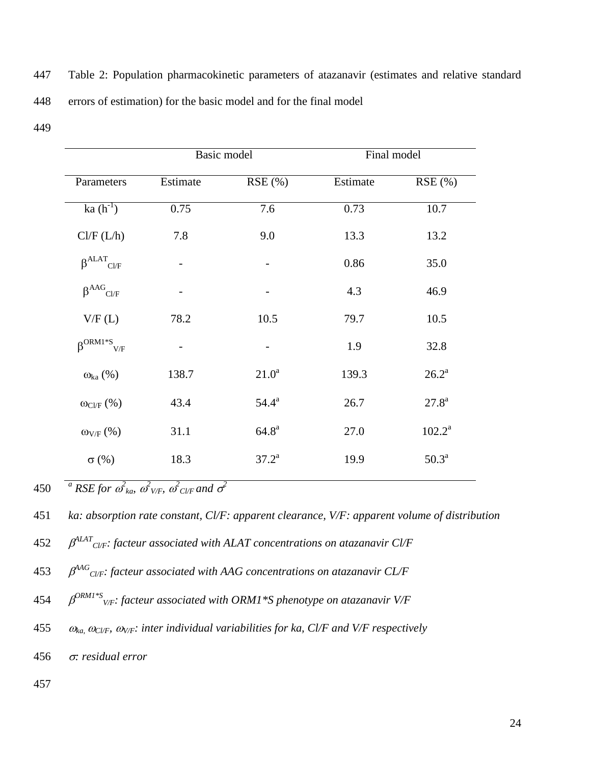| 447 | Table 2: Population pharmacokinetic parameters of atazanavir (estimates and relative standard |
|-----|-----------------------------------------------------------------------------------------------|
| 448 | errors of estimation) for the basic model and for the final model                             |

449

|                                      | Basic model |                | Final model |                   |
|--------------------------------------|-------------|----------------|-------------|-------------------|
| Parameters                           | Estimate    | RSE(%)         | Estimate    | RSE(%)            |
| ka $(h^{-1})$                        | 0.75        | 7.6            | 0.73        | 10.7              |
| Cl/F (L/h)                           | 7.8         | 9.0            | 13.3        | 13.2              |
| $\beta^{ALAT}$ Cl/F                  |             |                | 0.86        | 35.0              |
| $\beta^{AAG}$ Cl/F                   |             |                | 4.3         | 46.9              |
| V/F(L)                               | 78.2        | 10.5           | 79.7        | 10.5              |
| $\beta^{\text{ORM1*S}}_{\text{V/F}}$ |             |                | 1.9         | 32.8              |
| $\omega_{ka}$ (%)                    | 138.7       | $21.0^a$       | 139.3       | $26.2^{\rm a}$    |
| $\omega_{\text{Cl/F}}$ (%)           | 43.4        | $54.4^{\rm a}$ | 26.7        | $27.8^{\rm a}$    |
| $\omega_{V/F}$ (%)                   | 31.1        | $64.8^{\rm a}$ | 27.0        | $102.2^a$         |
| $\sigma$ (%)                         | 18.3        | $37.2^{\rm a}$ | 19.9        | 50.3 <sup>a</sup> |

 $a$ <sup>2</sup> RSE for  $a$ <sup>2</sup>  $_{ka}$ ,  $a$ <sup>2</sup>  $_{V/F}$ ,  $a$ <sup>2</sup>  $_{CVF}$  and  $a$ <sup>2</sup> 450

- *ALAT* 452 *Cl/F: facteur associated with ALAT concentrations on atazanavir Cl/F*
- *AAG* 453 *Cl/F: facteur associated with AAG concentrations on atazanavir CL/F*
- *ORM1\*S* 454 *V/F: facteur associated with ORM1\*S phenotype on atazanavir V/F*
- 455  $\omega_{ka}$ ,  $\omega_{CVF}$ *,*  $\omega_{V/F}$ *<i>:* inter individual variabilities for ka, Cl/F and V/F respectively
- 456 *σ: residual error*

<sup>451</sup> *ka: absorption rate constant, Cl/F: apparent clearance, V/F: apparent volume of distribution*